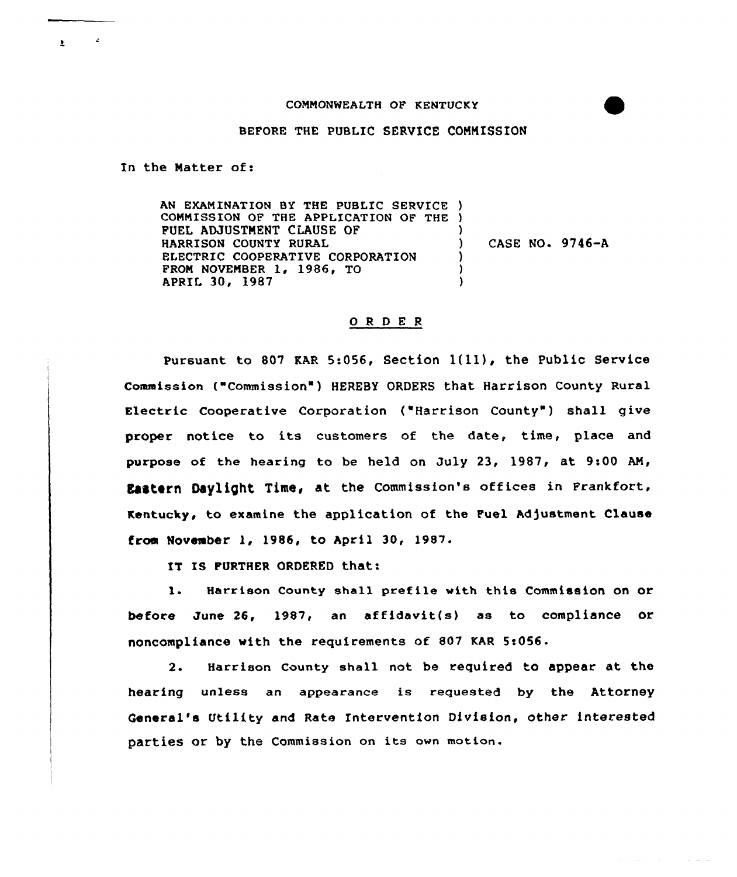## COMMONWEALTH OF KENTUCKY

## BEFORE THE PUBLIC SERVICE COMMISSION

In the Matter of:

AN EXAMINATION BY THE PUBLIC SERVICE ) COMMISSION OF THE APPLICATION OF THE ) PUEL ADJUSTMENT CLAUSE OF HARRISON COUNTY RURAL ELECTRIC COOPERATIVE CORPORATION FROM NOVEMBER 1, 1986, TO APRIL 30, 1987 ) ) CASE NO. 9746-A ) ) )

## 0 <sup>R</sup> <sup>D</sup> E <sup>R</sup>

Pursuant to 807 KAR 5:056, Section  $1(11)$ , the Public Service Commission ( Commission" ) HEREBY ORDERS that Harrison County Rural Electric Cooperative Corporation ("Harrison County") shall give proper notice to its customers of the date, time, place and purpose of the hearing to be held on July 23, 1987, at 9:00 AN, Eastern Daylight Time, at the Commission's offices in Frankfort, Kentucky, to examine the application of the Fuel Adjustment Clause from November 1, 1986, to April 30, 1987.

IT IS FURTHER ORDERED that:

l. Harrison County shall prefile with this Commission on or before June 26, 1987, an affidavit(s) as to compliance or noncompliance with the requirements of 807 KAR 5:056.

2. Harrison County shall not be required to appear at the hearing unless an appearance is requested by the Attorney General's Utility and Rate Intervention Division, other interested patties or by the Commission on its own motion.

المستوفي والمستورة

 $\mathbf{r} = \mathbf{r}$